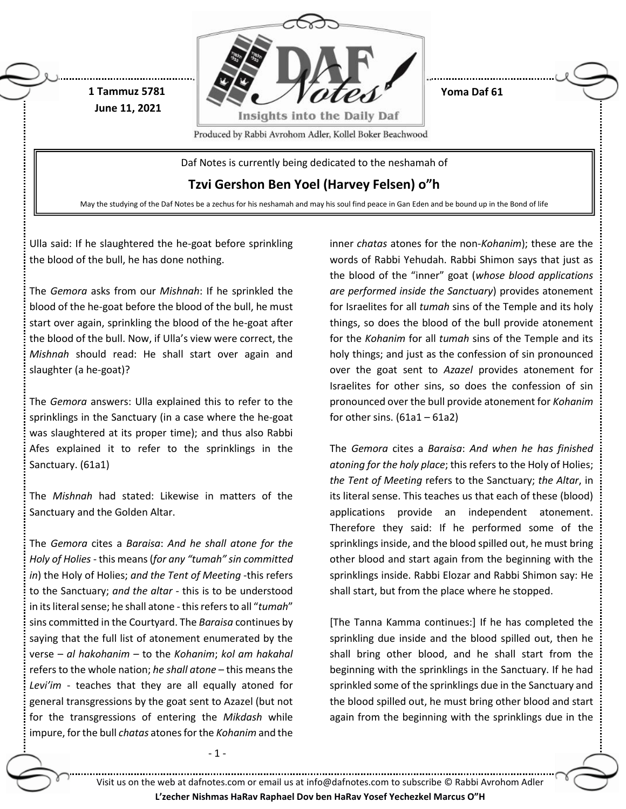

Ulla said: If he slaughtered the he-goat before sprinkling the blood of the bull, he has done nothing.

The *Gemora* asks from our *Mishnah*: If he sprinkled the blood of the he-goat before the blood of the bull, he must start over again, sprinkling the blood of the he-goat after the blood of the bull. Now, if Ulla's view were correct, the *Mishnah* should read: He shall start over again and slaughter (a he-goat)?

The *Gemora* answers: Ulla explained this to refer to the sprinklings in the Sanctuary (in a case where the he-goat was slaughtered at its proper time); and thus also Rabbi Afes explained it to refer to the sprinklings in the Sanctuary. (61a1)

The *Mishnah* had stated: Likewise in matters of the Sanctuary and the Golden Altar.

The *Gemora* cites a *Baraisa*: *And he shall atone for the Holy of Holies* - this means (*for any "tumah" sin committed in*) the Holy of Holies; *and the Tent of Meeting* -this refers to the Sanctuary; *and the altar* - this is to be understood in its literal sense; he shall atone -this refers to all "*tumah*" sins committed in the Courtyard. The *Baraisa* continues by saying that the full list of atonement enumerated by the verse – *al hakohanim –* to the *Kohanim*; *kol am hakahal*  refers to the whole nation; *he shall atone* – this means the *Levi'im* - teaches that they are all equally atoned for general transgressions by the goat sent to Azazel (but not for the transgressions of entering the *Mikdash* while impure, for the bull *chatas* atones for the *Kohanim* and the

- 1 -

inner *chatas* atones for the non-*Kohanim*); these are the words of Rabbi Yehudah. Rabbi Shimon says that just as the blood of the "inner" goat (*whose blood applications are performed inside the Sanctuary*) provides atonement for Israelites for all *tumah* sins of the Temple and its holy things, so does the blood of the bull provide atonement for the *Kohanim* for all *tumah* sins of the Temple and its holy things; and just as the confession of sin pronounced over the goat sent to *Azazel* provides atonement for Israelites for other sins, so does the confession of sin pronounced over the bull provide atonement for *Kohanim* for other sins.  $(61a1 - 61a2)$ 

The *Gemora* cites a *Baraisa*: *And when he has finished atoning for the holy place*; this refers to the Holy of Holies; *the Tent of Meeting* refers to the Sanctuary; *the Altar*, in its literal sense. This teaches us that each of these (blood) applications provide an independent atonement. Therefore they said: If he performed some of the sprinklings inside, and the blood spilled out, he must bring other blood and start again from the beginning with the sprinklings inside. Rabbi Elozar and Rabbi Shimon say: He shall start, but from the place where he stopped.

[The Tanna Kamma continues:] If he has completed the sprinkling due inside and the blood spilled out, then he shall bring other blood, and he shall start from the beginning with the sprinklings in the Sanctuary. If he had sprinkled some of the sprinklings due in the Sanctuary and the blood spilled out, he must bring other blood and start again from the beginning with the sprinklings due in the

Visit us on the web at dafnotes.com or email us at [info@dafnotes.com](mailto:info@dafnotes.com) to subscribe © Rabbi Avrohom Adler

**L'zecher Nishmas HaRav Raphael Dov ben HaRav Yosef Yechezkel Marcus O"H**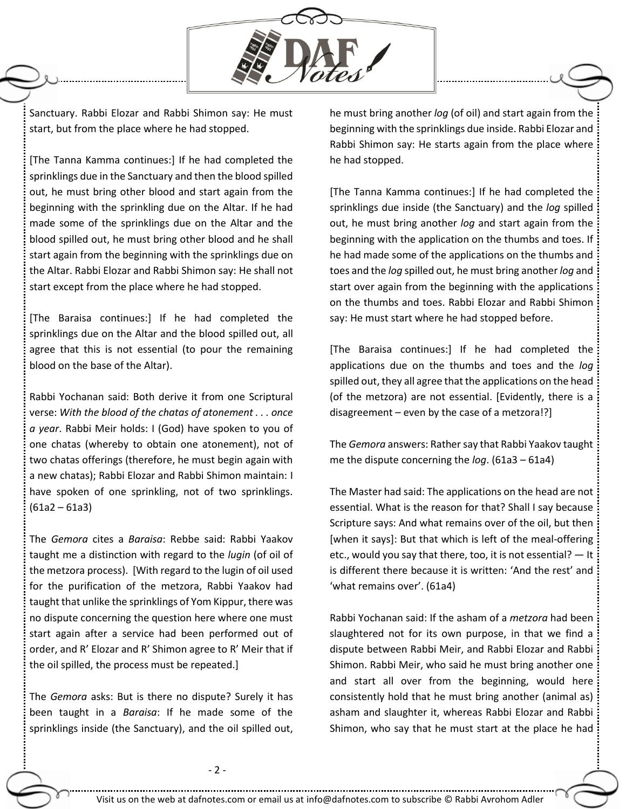

Sanctuary. Rabbi Elozar and Rabbi Shimon say: He must start, but from the place where he had stopped.

[The Tanna Kamma continues:] If he had completed the sprinklings due in the Sanctuary and then the blood spilled out, he must bring other blood and start again from the beginning with the sprinkling due on the Altar. If he had made some of the sprinklings due on the Altar and the blood spilled out, he must bring other blood and he shall start again from the beginning with the sprinklings due on the Altar. Rabbi Elozar and Rabbi Shimon say: He shall not start except from the place where he had stopped.

[The Baraisa continues:] If he had completed the sprinklings due on the Altar and the blood spilled out, all agree that this is not essential (to pour the remaining blood on the base of the Altar).

Rabbi Yochanan said: Both derive it from one Scriptural verse: *With the blood of the chatas of atonement . . . once a year*. Rabbi Meir holds: I (God) have spoken to you of one chatas (whereby to obtain one atonement), not of two chatas offerings (therefore, he must begin again with a new chatas); Rabbi Elozar and Rabbi Shimon maintain: I have spoken of one sprinkling, not of two sprinklings.  $(61a2 - 61a3)$ 

The *Gemora* cites a *Baraisa*: Rebbe said: Rabbi Yaakov taught me a distinction with regard to the *lugin* (of oil of the metzora process). [With regard to the lugin of oil used for the purification of the metzora, Rabbi Yaakov had taught that unlike the sprinklings of Yom Kippur, there was no dispute concerning the question here where one must start again after a service had been performed out of order, and R' Elozar and R' Shimon agree to R' Meir that if the oil spilled, the process must be repeated.]

The *Gemora* asks: But is there no dispute? Surely it has been taught in a *Baraisa*: If he made some of the sprinklings inside (the Sanctuary), and the oil spilled out, he must bring another *log* (of oil) and start again from the beginning with the sprinklings due inside. Rabbi Elozar and Rabbi Shimon say: He starts again from the place where he had stopped.

[The Tanna Kamma continues:] If he had completed the sprinklings due inside (the Sanctuary) and the *log* spilled out, he must bring another *log* and start again from the beginning with the application on the thumbs and toes. If he had made some of the applications on the thumbs and toes and the *log* spilled out, he must bring another *log* and start over again from the beginning with the applications on the thumbs and toes. Rabbi Elozar and Rabbi Shimon say: He must start where he had stopped before.

[The Baraisa continues:] If he had completed the applications due on the thumbs and toes and the *log* spilled out, they all agree that the applications on the head (of the metzora) are not essential. [Evidently, there is a disagreement  $-$  even by the case of a metzora!?

The *Gemora* answers: Rather say that Rabbi Yaakov taught me the dispute concerning the *log*. (61a3 – 61a4)

The Master had said: The applications on the head are not essential. What is the reason for that? Shall I say because Scripture says: And what remains over of the oil, but then [when it says]: But that which is left of the meal-offering etc., would you say that there, too, it is not essential? — It is different there because it is written: 'And the rest' and 'what remains over'. (61a4)

Rabbi Yochanan said: If the asham of a *metzora* had been slaughtered not for its own purpose, in that we find a dispute between Rabbi Meir, and Rabbi Elozar and Rabbi Shimon. Rabbi Meir, who said he must bring another one and start all over from the beginning, would here consistently hold that he must bring another (animal as) asham and slaughter it, whereas Rabbi Elozar and Rabbi Shimon, who say that he must start at the place he had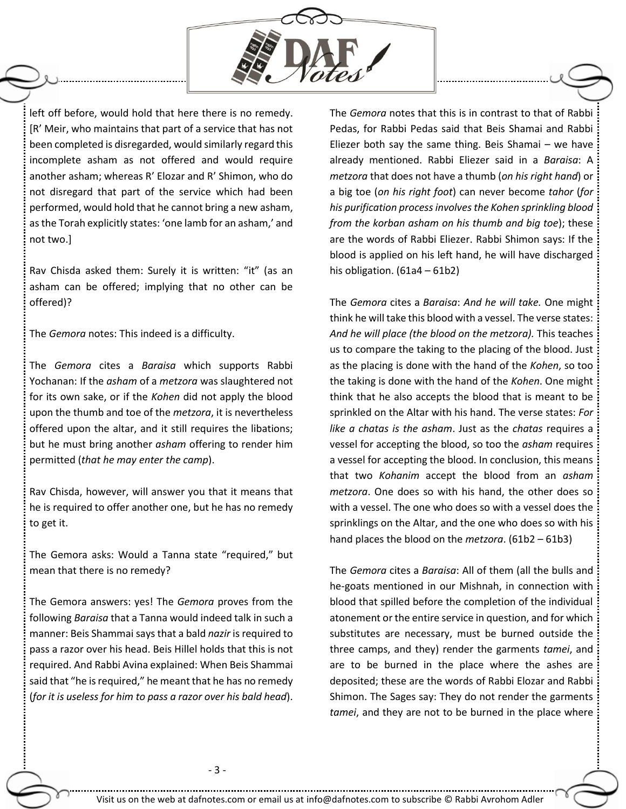

left off before, would hold that here there is no remedy. [R' Meir, who maintains that part of a service that has not been completed is disregarded, would similarly regard this incomplete asham as not offered and would require another asham; whereas R' Elozar and R' Shimon, who do not disregard that part of the service which had been performed, would hold that he cannot bring a new asham, as the Torah explicitly states: 'one lamb for an asham,' and not two.]

Rav Chisda asked them: Surely it is written: "it" (as an asham can be offered; implying that no other can be offered)?

The *Gemora* notes: This indeed is a difficulty.

The *Gemora* cites a *Baraisa* which supports Rabbi Yochanan: If the *asham* of a *metzora* was slaughtered not for its own sake, or if the *Kohen* did not apply the blood upon the thumb and toe of the *metzora*, it is nevertheless offered upon the altar, and it still requires the libations; but he must bring another *asham* offering to render him permitted (*that he may enter the camp*).

Rav Chisda, however, will answer you that it means that he is required to offer another one, but he has no remedy to get it.

The Gemora asks: Would a Tanna state "required," but mean that there is no remedy?

The Gemora answers: yes! The *Gemora* proves from the following *Baraisa* that a Tanna would indeed talk in such a manner: Beis Shammai says that a bald *nazir* is required to pass a razor over his head. Beis Hillel holds that this is not required. And Rabbi Avina explained: When Beis Shammai said that "he is required," he meant that he has no remedy (*for it is useless for him to pass a razor over his bald head*).

The *Gemora* notes that this is in contrast to that of Rabbi Pedas, for Rabbi Pedas said that Beis Shamai and Rabbi Eliezer both say the same thing. Beis Shamai – we have already mentioned. Rabbi Eliezer said in a *Baraisa*: A *metzora* that does not have a thumb (*on his right hand*) or a big toe (*on his right foot*) can never become *tahor* (*for his purification process involves the Kohen sprinkling blood from the korban asham on his thumb and big toe*); these are the words of Rabbi Eliezer. Rabbi Shimon says: If the blood is applied on his left hand, he will have discharged his obligation. (61a4 – 61b2)

The *Gemora* cites a *Baraisa*: *And he will take.* One might think he will take this blood with a vessel. The verse states: *And he will place (the blood on the metzora).* This teaches us to compare the taking to the placing of the blood. Just as the placing is done with the hand of the *Kohen*, so too the taking is done with the hand of the *Kohen*. One might think that he also accepts the blood that is meant to be sprinkled on the Altar with his hand. The verse states: *For like a chatas is the asham*. Just as the *chatas* requires a vessel for accepting the blood, so too the *asham* requires a vessel for accepting the blood. In conclusion, this means that two *Kohanim* accept the blood from an *asham metzora*. One does so with his hand, the other does so with a vessel. The one who does so with a vessel does the sprinklings on the Altar, and the one who does so with his hand places the blood on the *metzora*. (61b2 – 61b3)

The *Gemora* cites a *Baraisa*: All of them (all the bulls and he-goats mentioned in our Mishnah, in connection with blood that spilled before the completion of the individual atonement or the entire service in question, and for which substitutes are necessary, must be burned outside the three camps, and they) render the garments *tamei*, and are to be burned in the place where the ashes are deposited; these are the words of Rabbi Elozar and Rabbi Shimon. The Sages say: They do not render the garments *tamei*, and they are not to be burned in the place where